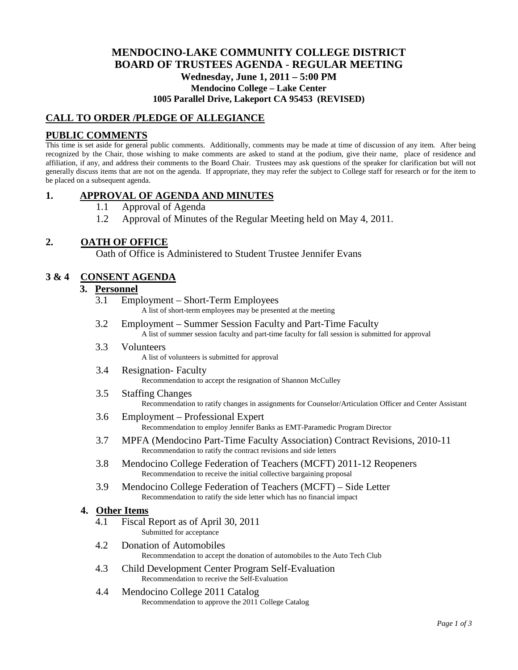# **MENDOCINO-LAKE COMMUNITY COLLEGE DISTRICT BOARD OF TRUSTEES AGENDA** - **REGULAR MEETING Wednesday, June 1, 2011 – 5:00 PM Mendocino College – Lake Center 1005 Parallel Drive, Lakeport CA 95453 (REVISED)**

## **CALL TO ORDER /PLEDGE OF ALLEGIANCE**

## **PUBLIC COMMENTS**

This time is set aside for general public comments. Additionally, comments may be made at time of discussion of any item. After being recognized by the Chair, those wishing to make comments are asked to stand at the podium, give their name, place of residence and affiliation, if any, and address their comments to the Board Chair. Trustees may ask questions of the speaker for clarification but will not generally discuss items that are not on the agenda. If appropriate, they may refer the subject to College staff for research or for the item to be placed on a subsequent agenda.

## **1. APPROVAL OF AGENDA AND MINUTES**

- 1.1 Approval of Agenda
- 1.2 Approval of Minutes of the Regular Meeting held on May 4, 2011.

## **2. OATH OF OFFICE**

Oath of Office is Administered to Student Trustee Jennifer Evans

## **3 & 4 CONSENT AGENDA**

### **3. Personnel**

- 3.1 Employment Short-Term Employees A list of short-term employees may be presented at the meeting
- 3.2 Employment Summer Session Faculty and Part-Time Faculty A list of summer session faculty and part-time faculty for fall session is submitted for approval
- 3.3 Volunteers A list of volunteers is submitted for approval
- 3.4 Resignation- Faculty Recommendation to accept the resignation of Shannon McCulley
- 3.5 Staffing Changes Recommendation to ratify changes in assignments for Counselor/Articulation Officer and Center Assistant
- 3.6 Employment Professional Expert Recommendation to employ Jennifer Banks as EMT-Paramedic Program Director
- 3.7 MPFA (Mendocino Part-Time Faculty Association) Contract Revisions, 2010-11 Recommendation to ratify the contract revisions and side letters
- 3.8 Mendocino College Federation of Teachers (MCFT) 2011-12 Reopeners Recommendation to receive the initial collective bargaining proposal
- 3.9 Mendocino College Federation of Teachers (MCFT) Side Letter Recommendation to ratify the side letter which has no financial impact

#### **4. Other Items**

- 4.1 Fiscal Report as of April 30, 2011 Submitted for acceptance
- 4.2 Donation of Automobiles Recommendation to accept the donation of automobiles to the Auto Tech Club
- 4.3 Child Development Center Program Self-Evaluation Recommendation to receive the Self-Evaluation
- 4.4 Mendocino College 2011 Catalog Recommendation to approve the 2011 College Catalog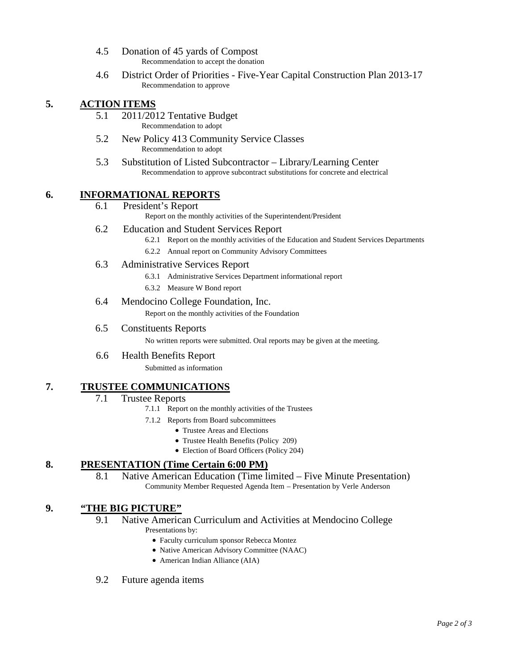- 4.5 Donation of 45 yards of Compost Recommendation to accept the donation
- 4.6 District Order of Priorities Five-Year Capital Construction Plan 2013-17 Recommendation to approve

# **5. ACTION ITEMS**

- 5.1 2011/2012 Tentative Budget Recommendation to adopt
- 5.2 New Policy 413 Community Service Classes Recommendation to adopt
- 5.3 Substitution of Listed Subcontractor Library/Learning Center Recommendation to approve subcontract substitutions for concrete and electrical

### **6. INFORMATIONAL REPORTS**

6.1 President's Report

Report on the monthly activities of the Superintendent/President

- 6.2 Education and Student Services Report
	- 6.2.1 Report on the monthly activities of the Education and Student Services Departments
	- 6.2.2 Annual report on Community Advisory Committees
- 6.3 Administrative Services Report
	- 6.3.1 Administrative Services Department informational report
	- 6.3.2 Measure W Bond report
- 6.4 Mendocino College Foundation, Inc.

Report on the monthly activities of the Foundation

6.5 Constituents Reports

No written reports were submitted. Oral reports may be given at the meeting.

6.6 Health Benefits Report

Submitted as information

## **7. TRUSTEE COMMUNICATIONS**

#### 7.1 Trustee Reports

- 7.1.1 Report on the monthly activities of the Trustees
- 7.1.2 Reports from Board subcommittees
	- Trustee Areas and Elections
	- Trustee Health Benefits (Policy 209)
	- Election of Board Officers (Policy 204)

## **8. PRESENTATION (Time Certain 6:00 PM)**

8.1 Native American Education (Time limited – Five Minute Presentation) Community Member Requested Agenda Item – Presentation by Verle Anderson

### **9. "THE BIG PICTURE"**

- 9.1 Native American Curriculum and Activities at Mendocino College Presentations by:
	- Faculty curriculum sponsor Rebecca Montez
	- Native American Advisory Committee (NAAC)
	- American Indian Alliance (AIA)
- 9.2 Future agenda items